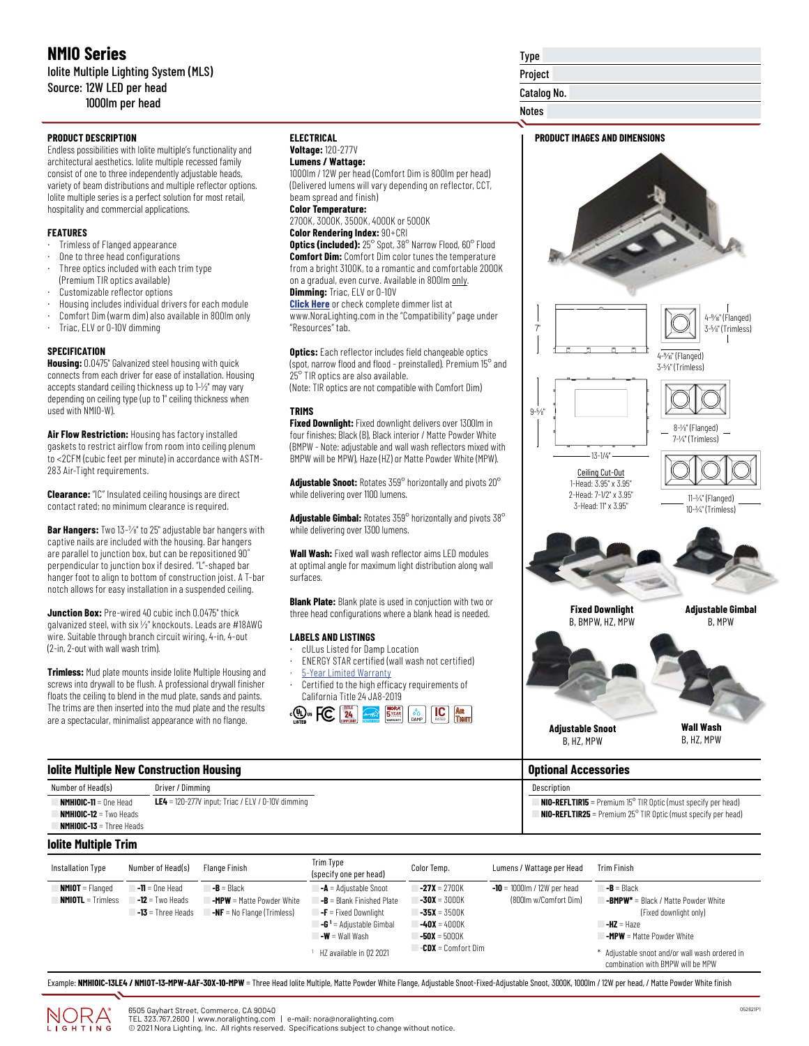## **NMIO Series** Iolite Multiple Lighting System (MLS) Source: 12W LED per head 1000lm per head

#### **PRODUCT DESCRIPTION**

Endless possibilities with Iolite multiple's functionality and architectural aesthetics. Iolite multiple recessed family consist of one to three independently adjustable heads, variety of beam distributions and multiple reflector options. Iolite multiple series is a perfect solution for most retail, hospitality and commercial applications.

#### **FEATURES**

- Trimless of Flanged appearance
- One to three head configurations
- Three optics included with each trim type (Premium TIR optics available)
- Customizable reflector options
- · Housing includes individual drivers for each module
- Comfort Dim (warm dim) also available in 800lm only
- Triac, ELV or 0-10V dimming

#### **SPECIFICATION**

**Housing:** 0.0475" Galvanized steel housing with quick connects from each driver for ease of installation. Housing accepts standard ceiling thickness up to 1-1/2" may vary depending on ceiling type (up to 1" ceiling thickness when used with NMIO-W).

**Air Flow Restriction:** Housing has factory installed gaskets to restrict airflow from room into ceiling plenum to <2CFM (cubic feet per minute) in accordance with ASTM-283 Air-Tight requirements.

**Clearance:** "IC" Insulated ceiling housings are direct contact rated; no minimum clearance is required.

**Bar Hangers:** Two 13-1/8" to 25" adjustable bar hangers with captive nails are included with the housing. Bar hangers are parallel to junction box, but can be repositioned 90˚ perpendicular to junction box if desired. "L"-shaped bar hanger foot to align to bottom of construction joist. A T-bar notch allows for easy installation in a suspended ceiling.

**Junction Box:** Pre-wired 40 cubic inch 0.0475" thick galvanized steel, with six 1/2" knockouts. Leads are #18AWG wire. Suitable through branch circuit wiring, 4-in, 4-out (2-in, 2-out with wall wash trim).

**Trimless:** Mud plate mounts inside Iolite Multiple Housing and screws into drywall to be flush. A professional drywall finisher floats the ceiling to blend in the mud plate, sands and paints. The trims are then inserted into the mud plate and the results are a spectacular, minimalist appearance with no flange.

Number of Head(s) Driver / Dimming

**Iolite Multiple New Construction Housing**

#### **ELECTRICAL Voltage:** 120-277V

#### **Lumens / Wattage:**

1000lm / 12W per head (Comfort Dim is 800lm per head) (Delivered lumens will vary depending on reflector, CCT, beam spread and finish)

**Color Temperature:** 2700K, 3000K, 3500K, 4000K or 5000K

### **Color Rendering Index:** 90+CRI

**Optics (included):** 25° Spot, 38° Narrow Flood, 60° Flood **Comfort Dim:** Comfort Dim color tunes the temperature from a bright 3100K, to a romantic and comfortable 2000K on a gradual, even curve. Available in 800lm only. **Dimming:** Triac, ELV or 0-10V

**[Click Here](https://noralighting.com/resources/compatibility/)** or check complete dimmer list at www.NoraLighting.com in the "Compatibility" page under "Resources" tab.

**Optics:** Each reflector includes field changeable optics (spot, narrow flood and flood - preinstalled). Premium 15° and 25° TIR optics are also available. (Note: TIR optics are not compatible with Comfort Dim)

#### **TRIMS**

**Fixed Downlight:** Fixed downlight delivers over 1300lm in four finishes; Black (B), Black interior / Matte Powder White (BMPW - Note: adjustable and wall wash reflectors mixed with BMPW will be MPW), Haze (HZ) or Matte Powder White (MPW).

**Adjustable Snoot:** Rotates 359° horizontally and pivots 20° while delivering over 1100 lumens.

**Adjustable Gimbal:** Rotates 359° horizontally and pivots 38° while delivering over 1300 lumens.

**Wall Wash:** Fixed wall wash reflector aims LED modules at optimal angle for maximum light distribution along wall surfaces.

**Blank Plate:** Blank plate is used in conjuction with two or three head configurations where a blank head is needed.

#### **LABELS AND LISTINGS**

- · cULus Listed for Damp Location
- ENERGY STAR certified (wall wash not certified)
- [5-Year Limited Warranty](https://noralighting.com/wp-content/uploads/2019/02/Limited-Warranty-Five-Year.pdf) Certified to the high efficacy requirements of
- California Title 24 JA8-2019



# Type Project Catalog No.

Notes



**NMHIOIC-11** = One Head **NMHIOIC-12** = Two Heads

| Installation Type   | Number of Head(s)   | Flange Finish                     | Trim Type<br>(specify one per head)              | Color Temp.               | Lumens / Wattage per Head      | <b>Trim Finish</b>                                                                  |
|---------------------|---------------------|-----------------------------------|--------------------------------------------------|---------------------------|--------------------------------|-------------------------------------------------------------------------------------|
| $MMIOT = Flanged$   | $-11 = 0$ ne Head   | $-B = Black$                      | <b>-A</b> = Adjustable Snoot                     | $-27X = 2700K$            | $-10 = 1000$ Im / 12W per head | $-B = Black$                                                                        |
| $NMIOTL = Trimless$ | $-12$ = Two Heads   | <b>-MPW</b> = Matte Powder White  | $\mathsf{B} = \mathsf{Blank}$ Finished Plate     | $-30X = 3000K$            | (800lm w/Comfort Dim)          | <b>-BMPW*</b> = Black / Matte Powder White                                          |
|                     | $-13$ = Three Heads | <b>-NF</b> = No Flange (Trimless) | $\mathsf{I}\text{-}\mathsf{F}$ = Fixed Downlight | $-35X = 3500K$            |                                | (Fixed downlight only)                                                              |
|                     |                     |                                   | $\mathsf{G}^1$ = Adjustable Gimbal               | $-40X = 4000K$            |                                | $-HZ = Haze$                                                                        |
|                     |                     |                                   | $\mathsf{I}\text{-}\mathsf{W}$ = Wall Wash       | $-50X = 5000K$            |                                | <b>-MPW</b> = Matte Powder White                                                    |
|                     |                     |                                   | HZ available in 02 2021                          | <b>-CDX</b> = Comfort Dim |                                | * Adjustable snoot and/or wall wash ordered in<br>combination with BMPW will be MPW |

Example: NMHIOIC-13LE4 / NMIOT-13-MPW-AAF-30X-10-MPW = Three Head Iolite Multiple, Matte Powder White Flange, Adjustable Snoot-Fixed-Adjustable Snoot, 3000K, 1000lm / 12W per head, / Matte Powder White finish



**LE4** = 120-277V input; Triac / ELV / 0-10V dimming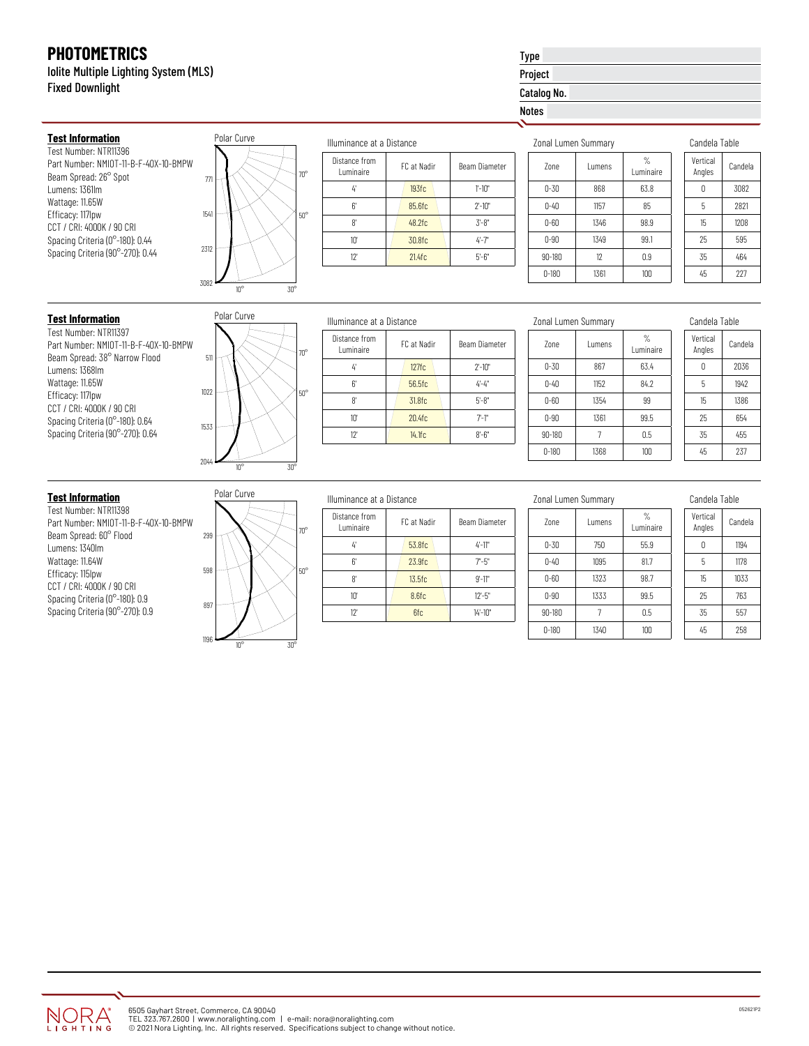**Test Information** Test Number: NTR11396

Beam Spread: 26° Spot Lumens: 1361lm Wattage: 11.65W Efficacy: 117lpw CCT / CRI: 4000K / 90 CRI Spacing Criteria (0°-180): 0.44 Spacing Criteria (90°-270): 0.44

Iolite Multiple Lighting System (MLS) Fixed Downlight

Part Number: NMIOT-11-B-F-40X-10-BMPW

## Type Project Catalog No.

Notes

| Zonal Lumen Summary |               |                             |  |
|---------------------|---------------|-----------------------------|--|
| 7 <sub>nne</sub>    | <b>Lumens</b> | $\frac{9}{6}$<br>I uminaire |  |
| $0 - 30$            | 868           | 63.8                        |  |
| $0 - 40$            | 1157          | 85                          |  |
| $0 - 60$            | 1346          | 98.9                        |  |
| $0 - 90$            | 1349          | 99.1                        |  |
| $90 - 180$          | 12            | 0.9                         |  |
| $0 - 180$           | 1361          | 100                         |  |

| Candela Table      |         |  |
|--------------------|---------|--|
| Vertical<br>Angles | Candela |  |
| Λ                  | 3082    |  |
| 5                  | 2821    |  |
| 15                 | 1208    |  |
| 25                 | 595     |  |
| 35                 | 464     |  |
| 45                 | 227     |  |

## **Test Information**

Test Number: NTR11397 Part Number: NMIOT-11-B-F-40X-10-BMPW Beam Spread: 38° Narrow Flood Lumens: 1368lm Wattage: 11.65W Efficacy: 117lpw CCT / CRI: 4000K / 90 CRI Spacing Criteria (0°-180): 0.64 Spacing Criteria (90°-270): 0.64

|      | Polar Curve  |              |
|------|--------------|--------------|
| 511  |              | $70^{\circ}$ |
| 1022 |              | $50^{\circ}$ |
| 1533 |              |              |
| 2044 | $10^{\circ}$ | $30^{\circ}$ |

 $\overline{10^{\circ}}$   $\overline{30^{\circ}}$ 

 $\pi$   $\pi$   $\sim$   $\sim$   $\sim$   $\sim$   $\sim$   $\pi$ 

Polar Curve

3082

2312

1541

50°

|    | Illuminance at a Distance   |             |               |  |
|----|-----------------------------|-------------|---------------|--|
| ገ° | Distance from<br>I uminaire | FC at Nadir | Beam Diameter |  |
|    | 4                           | 127fc       | $2' - 10"$    |  |
|    | 6'                          | 56.5fc      | $4 - 4"$      |  |
| ŋ۰ | 8'                          | 31.8fc      | $5 - 8"$      |  |
|    | $10^{\circ}$                | 20.4fc      | $7 - 1"$      |  |
|    | 12                          | 14.1fc      | $8 - 6"$      |  |
|    |                             |             |               |  |

| Zonal Lumen Summary |               |                            |  |
|---------------------|---------------|----------------------------|--|
| 7 <sub>nne</sub>    | <b>Lumens</b> | $\frac{9}{6}$<br>Luminaire |  |
| $0 - 30$            | 867           | 63.4                       |  |
| $0 - 40$            | 1152          | 84.2                       |  |
| $0 - 60$            | 1354          | 99                         |  |
| $0 - 90$            | 1361          | 99.5                       |  |
| $90 - 180$          |               | 0.5                        |  |
| $0 - 180$           | 1368          | 100                        |  |

Candela Table

| ranneia Tame |  |  |
|--------------|--|--|
| Candela      |  |  |
| 2036         |  |  |
| 1942         |  |  |
| 1386         |  |  |
| 654          |  |  |
| 455          |  |  |
| 237          |  |  |
|              |  |  |

## **Test Information**

Test Number: NTR11398 Part Number: NMIOT-11-B-F-40X-10-BMPW Beam Spread: 60° Flood Lumens: 1340lm Wattage: 11.64W Efficacy: 115lpw CCT / CRI: 4000K / 90 CRI Spacing Criteria (0°-180): 0.9 Spacing Criteria (90°-270): 0.9

|      | Polar Curve                  |              |
|------|------------------------------|--------------|
|      |                              |              |
| 299  |                              | $70^{\circ}$ |
| 598  |                              | $50^{\circ}$ |
| 897  |                              |              |
| 1196 | $30^{\circ}$<br>$10^{\circ}$ |              |

## Illuminance at a Distance

Illuminance at a Distance

FC at Nadir Beam Diameter

 $4'$  193fc 1'-10" 6' 85.6fc 2'-10" 8'  $\frac{48.25c}{3.8}$ 10'  $\sqrt{30.8}$ fc  $4-7$ " 12' 21.4fc 5'-6"

Distance from

| $70^{\circ}$ | Distance from<br>Luminaire | FC at Nadir<br>Beam Diameter |            |  |  |
|--------------|----------------------------|------------------------------|------------|--|--|
|              | 4                          | 53.8fc                       | $4 - 11$ " |  |  |
|              | 6                          | 23.9fc                       | $7 - 5"$   |  |  |
| $50^\circ$   | 8'                         | 13.5fc                       | $9' - 11"$ |  |  |
|              | $10^{\circ}$               | 8.6fc                        | $12 - 5"$  |  |  |
|              | 12"                        | 6fc                          | $14 - 10"$ |  |  |
|              |                            |                              |            |  |  |

|  | Zonal Lumen Summary |
|--|---------------------|
|  |                     |

| 7 <sub>nne</sub> | <b>Lumens</b> | %<br>Luminaire |
|------------------|---------------|----------------|
| $0 - 30$         | 750           | 55.9           |
| $0 - 40$         | 1095          | 81.7           |
| $0 - 60$         | 1323          | 98.7           |
| $0 - 90$         | 1333          | 99.5           |
| $90 - 180$       |               | 0.5            |
| $0 - 180$        | 1340          | 100            |

Candela Table

| Vertical<br>Angles | Candela |  |
|--------------------|---------|--|
| Ω                  | 1194    |  |
| 5                  | 1178    |  |
| 15                 | 1033    |  |
| 25                 | 763     |  |
| 35                 | 557     |  |
| 45                 | 258     |  |

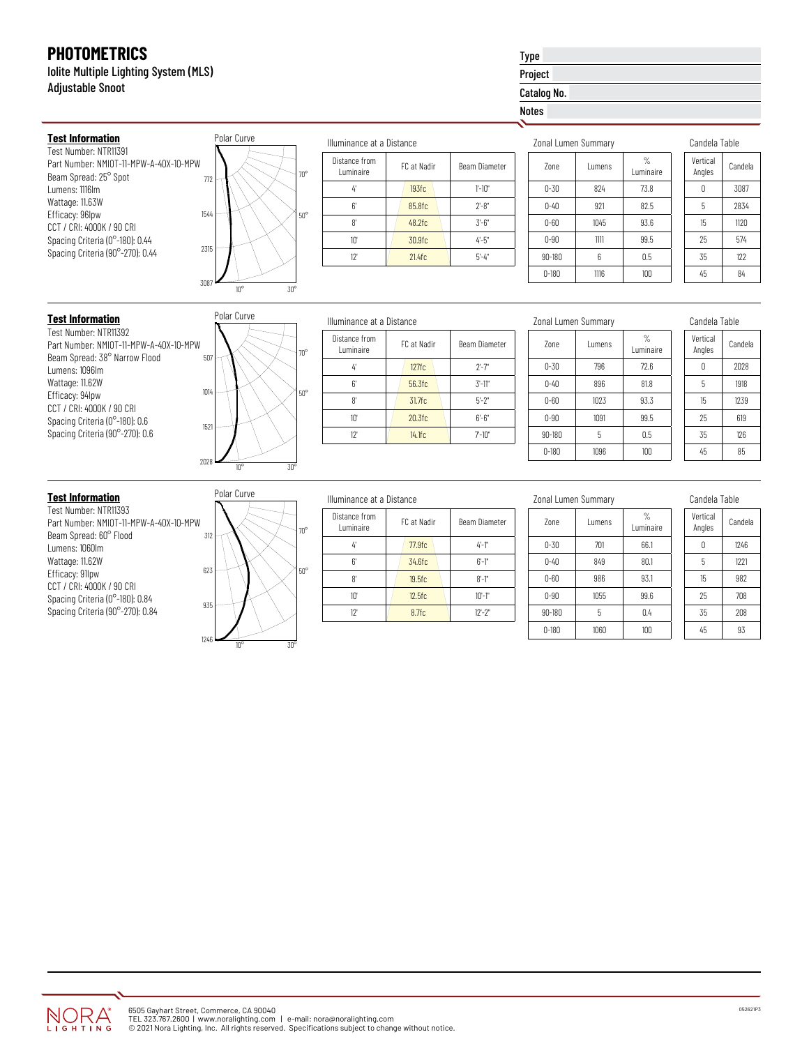**Test Information** Test Number: NTR11391

Beam Spread: 25° Spot Lumens: 1116lm Wattage: 11.63W Efficacy: 96lpw CCT / CRI: 4000K / 90 CRI Spacing Criteria (0°-180): 0.44 Spacing Criteria (90°-270): 0.44

## Iolite Multiple Lighting System (MLS) Adjustable Snoot

Part Number: NMIOT-11-MPW-A-40X-10-MPW

## Type Project Catalog No.

## Notes

| Zonal Lumen Summary |               |                             |  |
|---------------------|---------------|-----------------------------|--|
| 7 <sub>nne</sub>    | <b>Lumens</b> | $\frac{9}{6}$<br>I uminaire |  |
| $0 - 30$            | 824           | 73.8                        |  |
| $0 - 40$            | 921           | 82.5                        |  |
| $0 - 60$            | 1045          | 93.6                        |  |
| $0 - 90$            | 1111          | 99.5                        |  |
| $90 - 180$          | 6             | 0.5                         |  |
| $0 - 180$           | 1116          | 100                         |  |

| Candela Table      |         |  |
|--------------------|---------|--|
| Vertical<br>Angles | Candela |  |
| Λ                  | 3087    |  |
| 5                  | 2834    |  |
| 15                 | 1120    |  |
| 25                 | 574     |  |
| 35                 | 122     |  |
| 45                 | 84      |  |

## **Test Information**

Test Number: NTR11392 Part Number: NMIOT-11-MPW-A-40X-10-MP Beam Spread: 38° Narrow Flood Lumens: 1096lm Wattage: 11.62W Efficacy: 94lpw CCT / CRI: 4000K / 90 CRI Spacing Criteria (0°-180): 0.6 Spacing Criteria (90°-270): 0.6

|           | Polar Curve             |                 |
|-----------|-------------------------|-----------------|
| ₽W<br>507 |                         | $70^{\circ}$    |
| 1014      |                         | $50^{\circ}$    |
| 1521      |                         |                 |
| 2028      | $10^{\overline{\circ}}$ | 30 <sup>o</sup> |

 $10^{\circ}$   $30^{\circ}$ 

772 HK\\\X 7 70°

Polar Curve

3087

2315

1544

50°

|   | Illuminance at a Distance   |             |               |
|---|-----------------------------|-------------|---------------|
| ò | Distance from<br>I uminaire | FC at Nadir | Beam Diameter |
|   | 4                           | 127fc       | $2 - 7$       |
| ö | 6'                          | 56.3fc      | $3'$ -11"     |
|   | 8'                          | 31.7fc      | $5 - 2"$      |
|   | 10'                         | 20.3fc      | $6 - 6"$      |
|   | 12"                         | 14.1fc      | $7 - 10"$     |
|   |                             |             |               |

| Zonal Lumen Summary |               |                |
|---------------------|---------------|----------------|
| 7 <sub>nne</sub>    | <b>Lumens</b> | %<br>Luminaire |
| $0 - 30$            | 796           | 72.6           |
| $0 - 40$            | 896           | 81.8           |
| $0 - 60$            | 1023          | 93.3           |
| $0 - 90$            | 1091          | 99.5           |
| $90 - 180$          | 5             | 0.5            |
| $0 - 180$           | 1096          | 100            |

Candela Table

| rannaig Tama |  |  |
|--------------|--|--|
| Candela      |  |  |
| 2028         |  |  |
| 1918         |  |  |
| 1239         |  |  |
| 619          |  |  |
| 126          |  |  |
| 85           |  |  |
|              |  |  |

Test Number: NTR11393 Part Number: NMIOT-11-MPW-A-40X-10-MPW Beam Spread: 60° Flood Lumens: 1060lm Wattage: 11.62W Efficacy: 91lpw CCT / CRI: 4000K / 90 CRI Spacing Criteria (0°-180): 0.84 Spacing Criteria (90°-270): 0.84



 $10^{\circ}$  30°

## Illuminance at a Distance

Illuminance at a Distance

FC at Nadir Beam Diameter

 $4'$  193fc 1'-10" 6'  $85.8$ fc  $2^{\circ}-8$ "  $8'$   $48.2$ fc  $3'-6''$ 10'  $\sqrt{30.9}$ fc  $\sqrt{4-5}$ " 12' **21.4fc** 5'-4"

Distance from

| ŋ۰  | Distance from<br>Luminaire | FC at Nadir | Beam Diameter |
|-----|----------------------------|-------------|---------------|
|     | 4                          | 77.9fc      | $4 - 1$ "     |
|     | 6'                         | 34.6fc      | $6 - 1"$      |
| iO° | 8'                         | 19.5fc      | $8 - 1$ "     |
|     | 10'                        | 12.5fc      | $10 - 1"$     |
|     | 12"                        | 8.7fc       | $12 - 2"$     |
|     |                            |             |               |

| 7 <sub>nne</sub> | <b>Lumens</b> | %<br>Luminaire |
|------------------|---------------|----------------|
| 0-30             | 701           | 66.1           |
| $0 - 40$         | 849           | 80.1           |
| $0 - 60$         | 986           | 93.1           |

0-90 1055 99.6 90-180 5 0.4 0-180 1060 100

Zonal Lumen Summary

| Candela Table |  |
|---------------|--|
|               |  |

| Vertical<br>Angles | Candela |
|--------------------|---------|
| 0                  | 1246    |
| 5                  | 1221    |
| 15                 | 982     |
| 25                 | 708     |
| 35                 | 208     |
| 45                 | 93      |

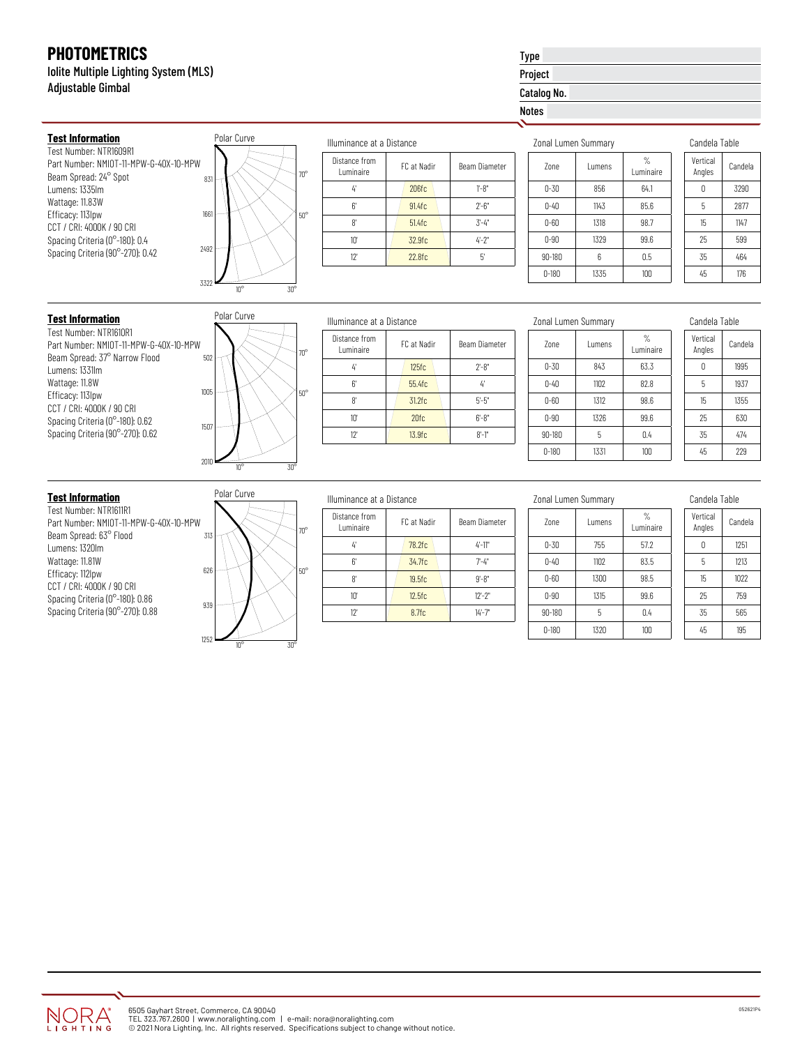**Test Information** Test Number: NTR1609R1

Beam Spread: 24° Spot Lumens: 1335lm Wattage: 11.83W Efficacy: 113lpw CCT / CRI: 4000K / 90 CRI Spacing Criteria (0°-180): 0.4 Spacing Criteria (90°-270): 0.42

Iolite Multiple Lighting System (MLS) Adjustable Gimbal

Part Number: NMIOT-11-MPW-G-40X-10-MPW

# Type Project

Catalog No.

### Notes

| Zonal Lumen Summary |               |                |
|---------------------|---------------|----------------|
| 7 <sub>nne</sub>    | <b>Lumens</b> | %<br>Luminaire |
| $0 - 30$            | 856           | 64.1           |
| $0 - 40$            | 1143          | 85.6           |
| $0 - 60$            | 1318          | 98.7           |
| $0 - 90$            | 1329          | 99.6           |
| $90 - 180$          | 6             | 0.5            |
| $0 - 180$           | 1335          | 100            |

| Candela Table      |         |  |
|--------------------|---------|--|
| Vertical<br>Angles | Candela |  |
| Λ                  | 3290    |  |
| 5                  | 2877    |  |
| 15                 | 1147    |  |
| 25                 | 599     |  |
| 35                 | 464     |  |
| 45                 | 176     |  |

## **Test Information**

Test Number: NTR1610R1 Part Number: NMIOT-11-MPW-G-40X-10-MP Beam Spread: 37° Narrow Flood Lumens: 1331lm Wattage: 11.8W Efficacy: 113lpw CCT / CRI: 4000K / 90 CRI Spacing Criteria (0°-180): 0.62 Spacing Criteria (90°-270): 0.62

|          | Polar Curve  |                 |
|----------|--------------|-----------------|
| W<br>502 |              | $70^{\circ}$    |
| 1005     |              | $50^{\circ}$    |
| 1507     |              |                 |
| 2010     | $10^{\circ}$ | 30 <sup>o</sup> |

 $10^{\circ}$  30°

<sup>831</sup> 70°

Polar Curve

3322

2492

1661

50°

| Illuminance at a Distance   |             |                      |  |  |  |  |  |  |  |
|-----------------------------|-------------|----------------------|--|--|--|--|--|--|--|
| Distance from<br>I uminaire | FC at Nadir | <b>Beam Diameter</b> |  |  |  |  |  |  |  |
| 4                           | 125fc       | $2 - 8"$             |  |  |  |  |  |  |  |
| 6'                          | 55.4fc      | 4                    |  |  |  |  |  |  |  |
| 8'                          | $31.2$ fc   | $5 - 5"$             |  |  |  |  |  |  |  |
| 10'                         | 20fc        | $6 - 8"$             |  |  |  |  |  |  |  |
| 12'                         | 13.9fc      | $8 - 1$ "            |  |  |  |  |  |  |  |
|                             |             |                      |  |  |  |  |  |  |  |

| Zonal Lumen Summary |         |                   |  |  |  |  |
|---------------------|---------|-------------------|--|--|--|--|
| 7 <sub>nne</sub>    | I umens | $\%$<br>Luminaire |  |  |  |  |
| $0 - 30$            | 843     | 63.3              |  |  |  |  |
| $0 - 40$            | 1102    | 82.8              |  |  |  |  |
| $0 - 60$            | 1312    | 98.6              |  |  |  |  |
| $0 - 90$            | 1326    | 99.6              |  |  |  |  |
| $90 - 180$          | 5       | 0.4               |  |  |  |  |
| $0 - 180$           | 1331    | 100               |  |  |  |  |

Candela Table

| uanucia Taulc      |         |  |  |  |
|--------------------|---------|--|--|--|
| Vertical<br>Angles | Candela |  |  |  |
| Ω                  | 1995    |  |  |  |
| 5                  | 1937    |  |  |  |
| 15                 | 1355    |  |  |  |
| 25                 | 630     |  |  |  |
| 35                 | 474     |  |  |  |
| 45                 | 229     |  |  |  |
|                    |         |  |  |  |

Test Number: NTR1611R1 Part Number: NMIOT-11-MPW-G-40X-10-MPW Beam Spread: 63° Flood Lumens: 1320lm Wattage: 11.81W Efficacy: 112lpw CCT / CRI: 4000K / 90 CRI Spacing Criteria (0°-180): 0.86 Spacing Criteria (90°-270): 0.88



 $10^{\circ}$  30°

# Illuminance at a Distance

Illuminance at a Distance

FC at Nadir Beam Diameter

 $4'$  206fc 1'-8" 6'  $\vert$  91.4fc  $\vert$  2'-6"  $8'$  51.4fc  $3'-4''$ 10'  $\sqrt{32.9}$ fc  $\sqrt{4}$ -2" 12' 22.8fc 5'

Distance from

| ŋ۰         | Distance from<br>Luminaire | FC at Nadir | Beam Diameter |
|------------|----------------------------|-------------|---------------|
|            | 4                          | 78.2fc      | $4 - 11$ "    |
| $50^\circ$ | 6                          | 34.7fc      | $7 - 4"$      |
|            | 8                          | 19.5fc      | $9 - 8"$      |
|            | $10^{\circ}$               | 12.5fc      | $12 - 2"$     |
|            | 12'                        | 8.7fc       | $14 - 7$      |
|            |                            |             |               |

|  | Zonal Lumen Summary |
|--|---------------------|
|  |                     |

| 7 <sub>nne</sub> | Lumens | $\frac{9}{6}$<br>I uminaire |
|------------------|--------|-----------------------------|
| $0 - 30$         | 755    | 57.2                        |
| $0 - 40$         | 1102   | 83.5                        |
| $0 - 60$         | 1300   | 98.5                        |
| $0 - 90$         | 1315   | 99.6                        |
| $90 - 180$       | 5      | 0.4                         |
| $0 - 180$        | 1320   | 100                         |

Candela Table

| Vertical<br>Angles | Candela |  |  |  |  |
|--------------------|---------|--|--|--|--|
| Ω                  | 1251    |  |  |  |  |
| 5                  | 1213    |  |  |  |  |
| 15                 | 1022    |  |  |  |  |
| 25                 | 759     |  |  |  |  |
| 35                 | 565     |  |  |  |  |
| 45                 | 195     |  |  |  |  |